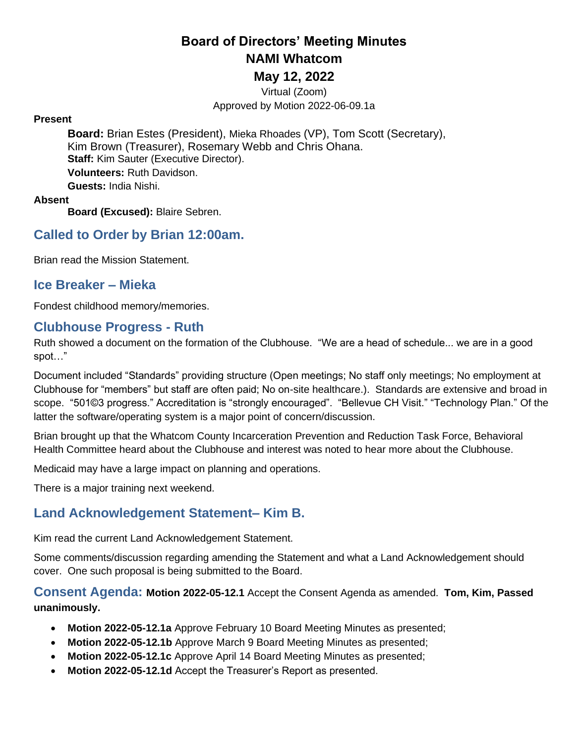# **Board of Directors' Meeting Minutes NAMI Whatcom**

#### **May 12, 2022**

Virtual (Zoom) Approved by Motion 2022-06-09.1a

#### **Present**

**Board:** Brian Estes (President), Mieka Rhoades (VP), Tom Scott (Secretary), Kim Brown (Treasurer), Rosemary Webb and Chris Ohana. **Staff:** Kim Sauter (Executive Director). **Volunteers:** Ruth Davidson. **Guests:** India Nishi.

#### **Absent**

**Board (Excused):** Blaire Sebren.

### **Called to Order by Brian 12:00am.**

Brian read the Mission Statement.

#### **Ice Breaker – Mieka**

Fondest childhood memory/memories.

#### **Clubhouse Progress - Ruth**

Ruth showed a document on the formation of the Clubhouse. "We are a head of schedule... we are in a good spot…"

Document included "Standards" providing structure (Open meetings; No staff only meetings; No employment at Clubhouse for "members" but staff are often paid; No on-site healthcare.). Standards are extensive and broad in scope. "501©3 progress." Accreditation is "strongly encouraged". "Bellevue CH Visit." "Technology Plan." Of the latter the software/operating system is a major point of concern/discussion.

Brian brought up that the Whatcom County Incarceration Prevention and Reduction Task Force, Behavioral Health Committee heard about the Clubhouse and interest was noted to hear more about the Clubhouse.

Medicaid may have a large impact on planning and operations.

There is a major training next weekend.

#### **Land Acknowledgement Statement– Kim B.**

Kim read the current Land Acknowledgement Statement.

Some comments/discussion regarding amending the Statement and what a Land Acknowledgement should cover. One such proposal is being submitted to the Board.

**Consent Agenda: Motion 2022-05-12.1** Accept the Consent Agenda as amended. **Tom, Kim, Passed unanimously.**

- **Motion 2022-05-12.1a** Approve February 10 Board Meeting Minutes as presented;
- **Motion 2022-05-12.1b** Approve March 9 Board Meeting Minutes as presented;
- **Motion 2022-05-12.1c** Approve April 14 Board Meeting Minutes as presented;
- **Motion 2022-05-12.1d** Accept the Treasurer's Report as presented.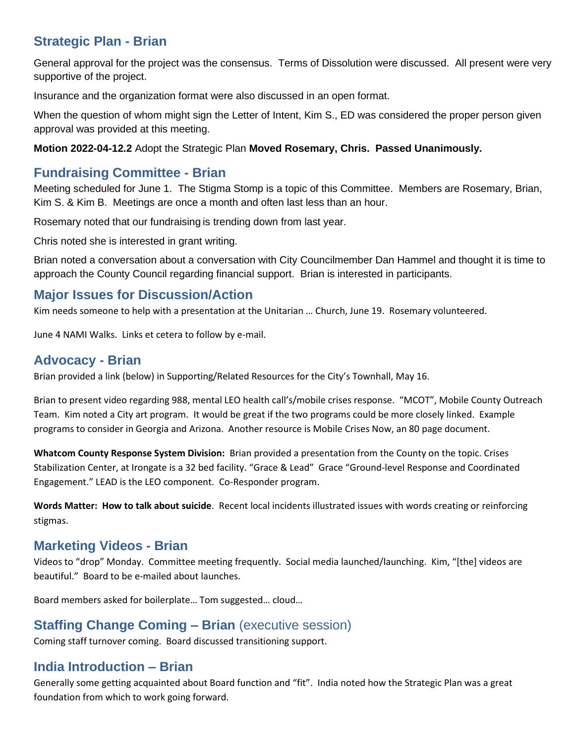## **Strategic Plan - Brian**

General approval for the project was the consensus. Terms of Dissolution were discussed. All present were very supportive of the project.

Insurance and the organization format were also discussed in an open format.

When the question of whom might sign the Letter of Intent, Kim S., ED was considered the proper person given approval was provided at this meeting.

**Motion 2022-04-12.2** Adopt the Strategic Plan **Moved Rosemary, Chris. Passed Unanimously.**

### **Fundraising Committee - Brian**

Meeting scheduled for June 1. The Stigma Stomp is a topic of this Committee. Members are Rosemary, Brian, Kim S. & Kim B. Meetings are once a month and often last less than an hour.

Rosemary noted that our fundraising is trending down from last year.

Chris noted she is interested in grant writing.

Brian noted a conversation about a conversation with City Councilmember Dan Hammel and thought it is time to approach the County Council regarding financial support. Brian is interested in participants.

## **Major Issues for Discussion/Action**

Kim needs someone to help with a presentation at the Unitarian … Church, June 19. Rosemary volunteered.

June 4 NAMI Walks. Links et cetera to follow by e-mail.

## **Advocacy - Brian**

Brian provided a link (below) in Supporting/Related Resources for the City's Townhall, May 16.

Brian to present video regarding 988, mental LEO health call's/mobile crises response. "MCOT", Mobile County Outreach Team. Kim noted a City art program. It would be great if the two programs could be more closely linked. Example programs to consider in Georgia and Arizona. Another resource is Mobile Crises Now, an 80 page document.

**Whatcom County Response System Division:** Brian provided a presentation from the County on the topic. Crises Stabilization Center, at Irongate is a 32 bed facility. "Grace & Lead" Grace "Ground-level Response and Coordinated Engagement." LEAD is the LEO component. Co-Responder program.

**Words Matter: How to talk about suicide**. Recent local incidents illustrated issues with words creating or reinforcing stigmas.

## **Marketing Videos - Brian**

Videos to "drop" Monday. Committee meeting frequently. Social media launched/launching. Kim, "[the] videos are beautiful." Board to be e-mailed about launches.

Board members asked for boilerplate… Tom suggested… cloud…

## **Staffing Change Coming – Brian** (executive session)

Coming staff turnover coming. Board discussed transitioning support.

## **India Introduction – Brian**

Generally some getting acquainted about Board function and "fit". India noted how the Strategic Plan was a great foundation from which to work going forward.